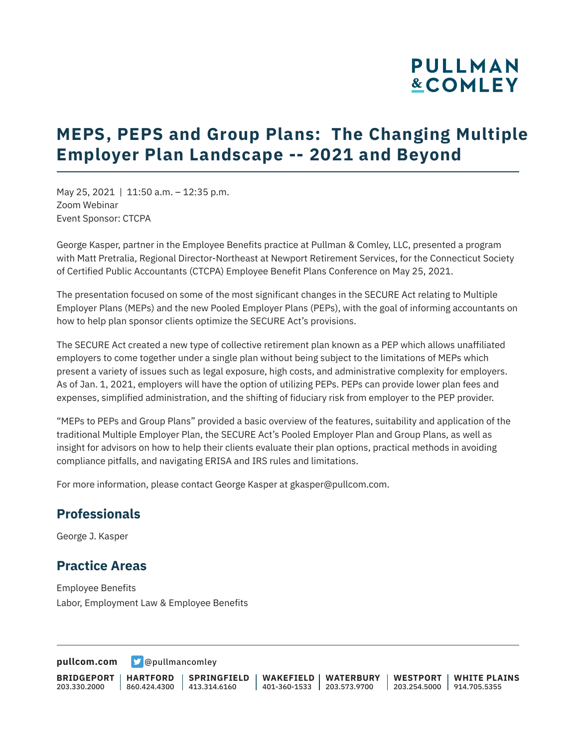# **PULLMAN &COMLEY**

# **MEPS, PEPS and Group Plans: The Changing Multiple Employer Plan Landscape -- 2021 and Beyond**

May 25, 2021 | 11:50 a.m. – 12:35 p.m. Zoom Webinar Event Sponsor: CTCPA

George Kasper, partner in the Employee Benefits practice at Pullman & Comley, LLC, presented a program with Matt Pretralia, Regional Director-Northeast at Newport Retirement Services, for the Connecticut Society of Certified Public Accountants (CTCPA) Employee Benefit Plans Conference on May 25, 2021.

The presentation focused on some of the most significant changes in the SECURE Act relating to Multiple Employer Plans (MEPs) and the new Pooled Employer Plans (PEPs), with the goal of informing accountants on how to help plan sponsor clients optimize the SECURE Act's provisions.

The SECURE Act created a new type of collective retirement plan known as a PEP which allows unaffiliated employers to come together under a single plan without being subject to the limitations of MEPs which present a variety of issues such as legal exposure, high costs, and administrative complexity for employers. As of Jan. 1, 2021, employers will have the option of utilizing PEPs. PEPs can provide lower plan fees and expenses, simplified administration, and the shifting of fiduciary risk from employer to the PEP provider.

"MEPs to PEPs and Group Plans" provided a basic overview of the features, suitability and application of the traditional Multiple Employer Plan, the SECURE Act's Pooled Employer Plan and Group Plans, as well as insight for advisors on how to help their clients evaluate their plan options, practical methods in avoiding compliance pitfalls, and navigating ERISA and IRS rules and limitations.

For more information, please contact George Kasper at gkasper@pullcom.com.

#### **Professionals**

George J. Kasper

#### **Practice Areas**

Employee Benefits Labor, Employment Law & Employee Benefits

**[pullcom.com](https://www.pullcom.com) g** [@pullmancomley](https://twitter.com/PullmanComley)

**BRIDGEPORT** 203.330.2000 **HARTFORD** 860.424.4300 413.314.6160 **SPRINGFIELD WAKEFIELD WATERBURY** 401-360-1533 203.573.9700 **WESTPORT WHITE PLAINS** 203.254.5000 914.705.5355